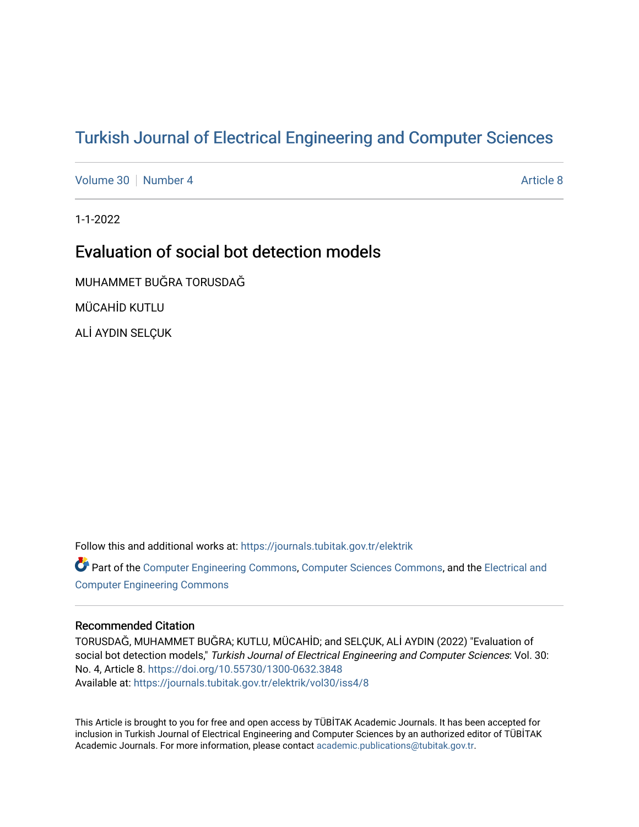# [Turkish Journal of Electrical Engineering and Computer Sciences](https://journals.tubitak.gov.tr/elektrik)

[Volume 30](https://journals.tubitak.gov.tr/elektrik/vol30) [Number 4](https://journals.tubitak.gov.tr/elektrik/vol30/iss4) [Article 8](https://journals.tubitak.gov.tr/elektrik/vol30/iss4/8) Article 8 Article 8 Article 8 Article 8 Article 8 Article 8 Article 8 Article 8 A

1-1-2022

# Evaluation of social bot detection models

MUHAMMET BUĞRA TORUSDAĞ

MÜCAHİD KUTLU

ALİ AYDIN SELÇUK

Follow this and additional works at: [https://journals.tubitak.gov.tr/elektrik](https://journals.tubitak.gov.tr/elektrik?utm_source=journals.tubitak.gov.tr%2Felektrik%2Fvol30%2Fiss4%2F8&utm_medium=PDF&utm_campaign=PDFCoverPages) 

Part of the [Computer Engineering Commons,](https://network.bepress.com/hgg/discipline/258?utm_source=journals.tubitak.gov.tr%2Felektrik%2Fvol30%2Fiss4%2F8&utm_medium=PDF&utm_campaign=PDFCoverPages) [Computer Sciences Commons](https://network.bepress.com/hgg/discipline/142?utm_source=journals.tubitak.gov.tr%2Felektrik%2Fvol30%2Fiss4%2F8&utm_medium=PDF&utm_campaign=PDFCoverPages), and the [Electrical and](https://network.bepress.com/hgg/discipline/266?utm_source=journals.tubitak.gov.tr%2Felektrik%2Fvol30%2Fiss4%2F8&utm_medium=PDF&utm_campaign=PDFCoverPages) [Computer Engineering Commons](https://network.bepress.com/hgg/discipline/266?utm_source=journals.tubitak.gov.tr%2Felektrik%2Fvol30%2Fiss4%2F8&utm_medium=PDF&utm_campaign=PDFCoverPages)

# Recommended Citation

TORUSDAĞ, MUHAMMET BUĞRA; KUTLU, MÜCAHİD; and SELÇUK, ALİ AYDIN (2022) "Evaluation of social bot detection models," Turkish Journal of Electrical Engineering and Computer Sciences: Vol. 30: No. 4, Article 8. <https://doi.org/10.55730/1300-0632.3848> Available at: [https://journals.tubitak.gov.tr/elektrik/vol30/iss4/8](https://journals.tubitak.gov.tr/elektrik/vol30/iss4/8?utm_source=journals.tubitak.gov.tr%2Felektrik%2Fvol30%2Fiss4%2F8&utm_medium=PDF&utm_campaign=PDFCoverPages) 

This Article is brought to you for free and open access by TÜBİTAK Academic Journals. It has been accepted for inclusion in Turkish Journal of Electrical Engineering and Computer Sciences by an authorized editor of TÜBİTAK Academic Journals. For more information, please contact [academic.publications@tubitak.gov.tr](mailto:academic.publications@tubitak.gov.tr).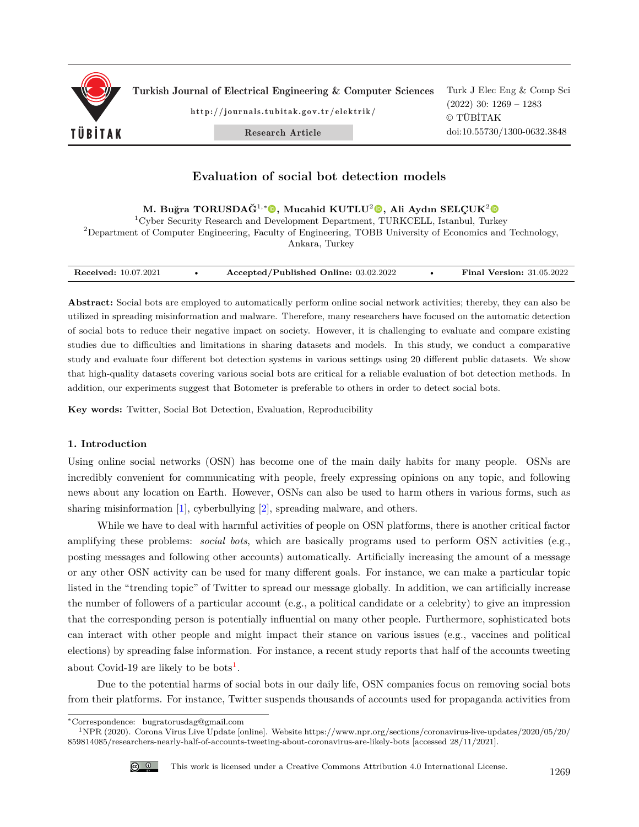

Turkish Journal of Electrical Engineering & Computer Sciences

http://journals.tubitak.gov.tr/elektrik/

Research Article

Turk J Elec Eng & Comp Sci (2022) 30: 1269 – 1283 © TÜBİTAK doi:10.55730/1300-0632.3848

# **Evaluation of social bot detection models**

**M. Buğra TORUSDAĞ**<sup>1</sup>*,*<sup>∗</sup>**, Mucahid KUTLU**<sup>2</sup>**, Ali Aydın SELÇUK**<sup>2</sup>

<sup>1</sup>Cyber Security Research and Development Department, TURKCELL, Istanbul, Turkey <sup>2</sup>Department of Computer Engineering, Faculty of Engineering, TOBB University of Economics and Technology, Ankara, Turkey

| <b>Received:</b> 10.07.2021 | Accepted/Published Online: 03.02.2022 | <b>Final Version: 31.05.2022</b> |
|-----------------------------|---------------------------------------|----------------------------------|

**Abstract:** Social bots are employed to automatically perform online social network activities; thereby, they can also be utilized in spreading misinformation and malware. Therefore, many researchers have focused on the automatic detection of social bots to reduce their negative impact on society. However, it is challenging to evaluate and compare existing studies due to difficulties and limitations in sharing datasets and models. In this study, we conduct a comparative study and evaluate four different bot detection systems in various settings using 20 different public datasets. We show that high-quality datasets covering various social bots are critical for a reliable evaluation of bot detection methods. In addition, our experiments suggest that Botometer is preferable to others in order to detect social bots.

**Key words:** Twitter, Social Bot Detection, Evaluation, Reproducibility

# **1. Introduction**

Using online social networks (OSN) has become one of the main daily habits for many people. OSNs are incredibly convenient for communicating with people, freely expressing opinions on any topic, and following news about any location on Earth. However, OSNs can also be used to harm others in various forms, such as sharing misinformation [[1\]](#page-13-0), cyberbullying [[2\]](#page-13-1), spreading malware, and others.

While we have to deal with harmful activities of people on OSN platforms, there is another critical factor amplifying these problems: *social bots*, which are basically programs used to perform OSN activities (e.g., posting messages and following other accounts) automatically. Artificially increasing the amount of a message or any other OSN activity can be used for many different goals. For instance, we can make a particular topic listed in the "trending topic" of Twitter to spread our message globally. In addition, we can artificially increase the number of followers of a particular account (e.g., a political candidate or a celebrity) to give an impression that the corresponding person is potentially influential on many other people. Furthermore, sophisticated bots can interact with other people and might impact their stance on various issues (e.g., vaccines and political elections) by spreading false information. For instance, a recent study reports that half of the accounts tweeting about Covid-[1](#page-1-0)9 are likely to be bots<sup>1</sup>.

Due to the potential harms of social bots in our daily life, OSN companies focus on removing social bots from their platforms. For instance, Twitter suspends thousands of accounts used for propaganda activities from

<span id="page-1-0"></span><sup>1</sup>NPR (2020). Corona Virus Live Update [online]. Website https://www.npr.org/sections/coronavirus-live-updates/2020/05/20/ 859814085/researchers-nearly-half-of-accounts-tweeting-about-coronavirus-are-likely-bots [accessed 28/11/2021].



<sup>∗</sup>Correspondence: bugratorusdag@gmail.com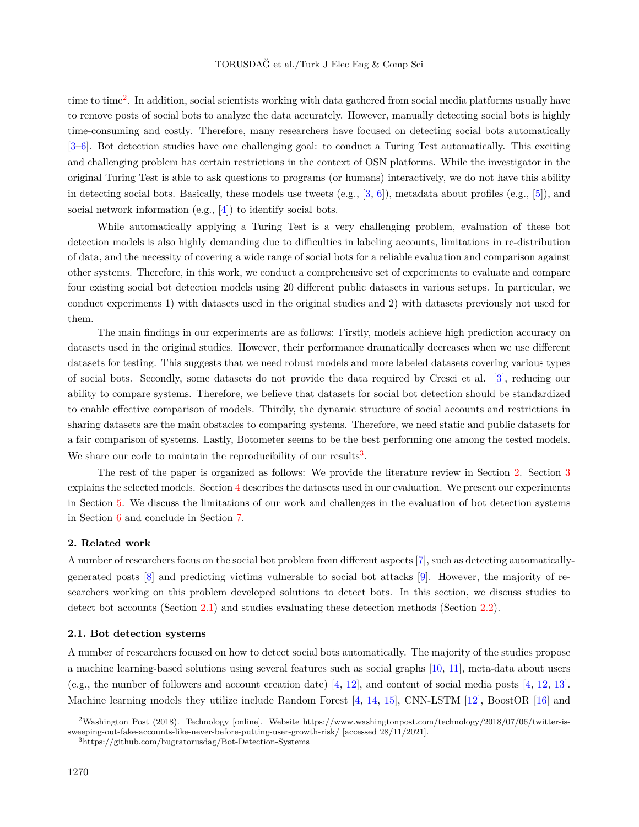time to time<sup>[2](#page-2-0)</sup>. In addition, social scientists working with data gathered from social media platforms usually have to remove posts of social bots to analyze the data accurately. However, manually detecting social bots is highly time-consuming and costly. Therefore, many researchers have focused on detecting social bots automatically [[3–](#page-13-2)[6\]](#page-13-3). Bot detection studies have one challenging goal: to conduct a Turing Test automatically. This exciting and challenging problem has certain restrictions in the context of OSN platforms. While the investigator in the original Turing Test is able to ask questions to programs (or humans) interactively, we do not have this ability in detecting social bots. Basically, these models use tweets  $(e.g., [3, 6])$  $(e.g., [3, 6])$  $(e.g., [3, 6])$  $(e.g., [3, 6])$  $(e.g., [3, 6])$ , metadata about profiles  $(e.g., [5])$  $(e.g., [5])$  $(e.g., [5])$ , and socialnetwork information (e.g., [[4\]](#page-13-5)) to identify social bots.

While automatically applying a Turing Test is a very challenging problem, evaluation of these bot detection models is also highly demanding due to difficulties in labeling accounts, limitations in re-distribution of data, and the necessity of covering a wide range of social bots for a reliable evaluation and comparison against other systems. Therefore, in this work, we conduct a comprehensive set of experiments to evaluate and compare four existing social bot detection models using 20 different public datasets in various setups. In particular, we conduct experiments 1) with datasets used in the original studies and 2) with datasets previously not used for them.

The main findings in our experiments are as follows: Firstly, models achieve high prediction accuracy on datasets used in the original studies. However, their performance dramatically decreases when we use different datasets for testing. This suggests that we need robust models and more labeled datasets covering various types of social bots. Secondly, some datasets do not provide the data required by Cresci et al. [[3\]](#page-13-2), reducing our ability to compare systems. Therefore, we believe that datasets for social bot detection should be standardized to enable effective comparison of models. Thirdly, the dynamic structure of social accounts and restrictions in sharing datasets are the main obstacles to comparing systems. Therefore, we need static and public datasets for a fair comparison of systems. Lastly, Botometer seems to be the best performing one among the tested models. We share our code to maintain the reproducibility of our results<sup>[3](#page-2-1)</sup>.

The rest of the paper is organized as follows: We provide the literature review in Section [2.](#page-2-2) Section [3](#page-4-0) explains the selected models. Section [4](#page-5-0) describes the datasets used in our evaluation. We present our experiments in Section [5.](#page-7-0) We discuss the limitations of our work and challenges in the evaluation of bot detection systems in Section [6](#page-11-0) and conclude in Section [7.](#page-13-6)

#### <span id="page-2-2"></span>**2. Related work**

A number of researchers focus on the social bot problem from different aspects [[7\]](#page-13-7), such as detecting automaticallygenerated posts [\[8](#page-14-0)] and predicting victims vulnerable to social bot attacks [[9\]](#page-14-1). However, the majority of researchers working on this problem developed solutions to detect bots. In this section, we discuss studies to detect bot accounts (Section [2.1\)](#page-2-3) and studies evaluating these detection methods (Section [2.2](#page-3-0)).

#### <span id="page-2-3"></span>**2.1. Bot detection systems**

A number of researchers focused on how to detect social bots automatically. The majority of the studies propose a machine learning-based solutions using several features such as social graphs [[10,](#page-14-2) [11\]](#page-14-3), meta-data about users (e.g., the number of followers and account creation date) [[4,](#page-13-5) [12\]](#page-14-4), and content of social media posts [[4,](#page-13-5) [12,](#page-14-4) [13](#page-14-5)]. Machine learning models they utilize include Random Forest [\[4](#page-13-5), [14,](#page-14-6) [15](#page-14-7)], CNN-LSTM [[12\]](#page-14-4), BoostOR [\[16](#page-14-8)] and

<span id="page-2-0"></span><sup>2</sup>Washington Post (2018). Technology [online]. Website https://www.washingtonpost.com/technology/2018/07/06/twitter-issweeping-out-fake-accounts-like-never-before-putting-user-growth-risk/ [accessed 28/11/2021].

<span id="page-2-1"></span><sup>3</sup>https://github.com/bugratorusdag/Bot-Detection-Systems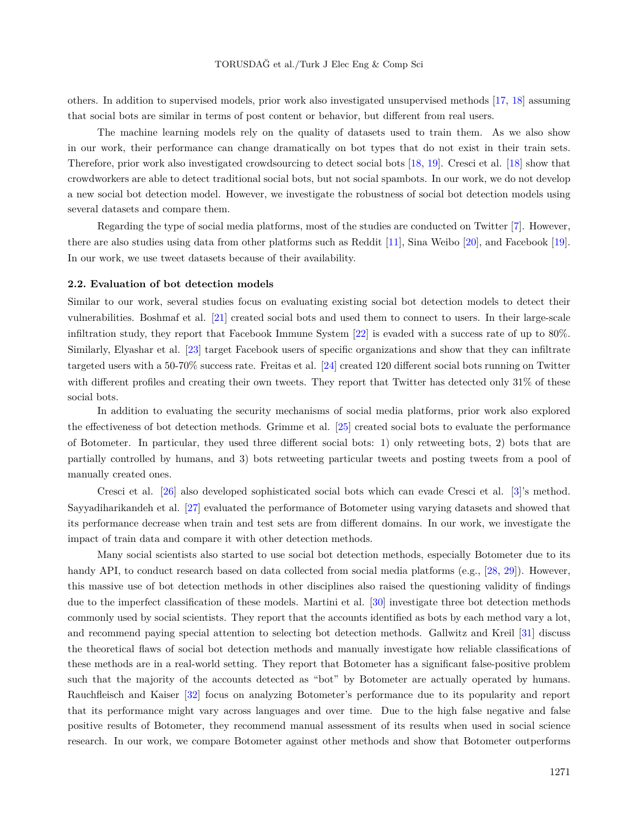others. In addition to supervised models, prior work also investigated unsupervised methods [[17,](#page-14-9) [18\]](#page-14-10) assuming that social bots are similar in terms of post content or behavior, but different from real users.

The machine learning models rely on the quality of datasets used to train them. As we also show in our work, their performance can change dramatically on bot types that do not exist in their train sets. Therefore, prior work also investigated crowdsourcing to detect social bots [[18,](#page-14-10) [19\]](#page-14-11). Cresci et al. [\[18](#page-14-10)] show that crowdworkers are able to detect traditional social bots, but not social spambots. In our work, we do not develop a new social bot detection model. However, we investigate the robustness of social bot detection models using several datasets and compare them.

Regarding the type of social media platforms, most of the studies are conducted on Twitter [\[7](#page-13-7)]. However, there are also studies using data from other platforms such as Reddit [\[11](#page-14-3)], Sina Weibo [\[20](#page-14-12)], and Facebook [\[19](#page-14-11)]. In our work, we use tweet datasets because of their availability.

#### <span id="page-3-0"></span>**2.2. Evaluation of bot detection models**

Similar to our work, several studies focus on evaluating existing social bot detection models to detect their vulnerabilities. Boshmaf et al. [\[21](#page-14-13)] created social bots and used them to connect to users. In their large-scale infiltration study, they report that Facebook Immune System [[22\]](#page-14-14) is evaded with a success rate of up to 80%. Similarly, Elyashar et al. [\[23](#page-14-15)] target Facebook users of specific organizations and show that they can infiltrate targeted users with a 50-70% success rate. Freitas et al. [\[24](#page-14-16)] created 120 different social bots running on Twitter with different profiles and creating their own tweets. They report that Twitter has detected only 31% of these social bots.

In addition to evaluating the security mechanisms of social media platforms, prior work also explored the effectiveness of bot detection methods. Grimme et al. [[25\]](#page-14-17) created social bots to evaluate the performance of Botometer. In particular, they used three different social bots: 1) only retweeting bots, 2) bots that are partially controlled by humans, and 3) bots retweeting particular tweets and posting tweets from a pool of manually created ones.

Cresci et al. [[26](#page-14-18)] also developed sophisticated social bots which can evade Cresci et al. [[3\]](#page-13-2)'s method. Sayyadiharikandeh et al. [[27\]](#page-15-0) evaluated the performance of Botometer using varying datasets and showed that its performance decrease when train and test sets are from different domains. In our work, we investigate the impact of train data and compare it with other detection methods.

Many social scientists also started to use social bot detection methods, especially Botometer due to its handy API, to conduct research based on data collected from social media platforms (e.g., [[28,](#page-15-1) [29](#page-15-2)]). However, this massive use of bot detection methods in other disciplines also raised the questioning validity of findings due to the imperfect classification of these models. Martini et al. [\[30](#page-15-3)] investigate three bot detection methods commonly used by social scientists. They report that the accounts identified as bots by each method vary a lot, and recommend paying special attention to selecting bot detection methods. Gallwitz and Kreil [\[31\]](#page-15-4) discuss the theoretical flaws of social bot detection methods and manually investigate how reliable classifications of these methods are in a real-world setting. They report that Botometer has a significant false-positive problem such that the majority of the accounts detected as "bot" by Botometer are actually operated by humans. Rauchfleisch and Kaiser [\[32](#page-15-5)] focus on analyzing Botometer's performance due to its popularity and report that its performance might vary across languages and over time. Due to the high false negative and false positive results of Botometer, they recommend manual assessment of its results when used in social science research. In our work, we compare Botometer against other methods and show that Botometer outperforms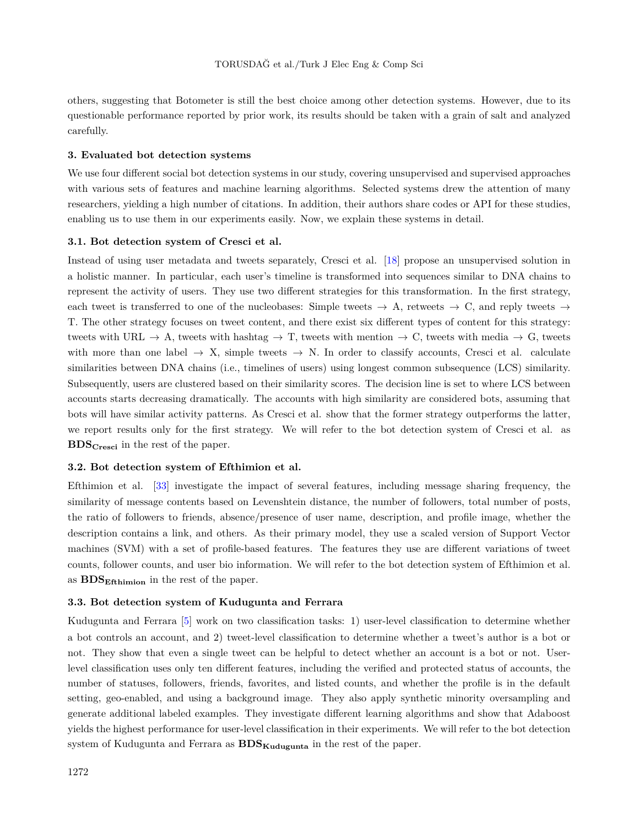others, suggesting that Botometer is still the best choice among other detection systems. However, due to its questionable performance reported by prior work, its results should be taken with a grain of salt and analyzed carefully.

## <span id="page-4-0"></span>**3. Evaluated bot detection systems**

We use four different social bot detection systems in our study, covering unsupervised and supervised approaches with various sets of features and machine learning algorithms. Selected systems drew the attention of many researchers, yielding a high number of citations. In addition, their authors share codes or API for these studies, enabling us to use them in our experiments easily. Now, we explain these systems in detail.

## **3.1. Bot detection system of Cresci et al.**

Instead of using user metadata and tweets separately, Cresci et al. [[18\]](#page-14-10) propose an unsupervised solution in a holistic manner. In particular, each user's timeline is transformed into sequences similar to DNA chains to represent the activity of users. They use two different strategies for this transformation. In the first strategy, each tweet is transferred to one of the nucleobases: Simple tweets  $\rightarrow$  A, retweets  $\rightarrow$  C, and reply tweets  $\rightarrow$ T. The other strategy focuses on tweet content, and there exist six different types of content for this strategy: tweets with URL *→* A, tweets with hashtag *→* T, tweets with mention *→* C, tweets with media *→* G, tweets with more than one label *→* X, simple tweets *→* N. In order to classify accounts, Cresci et al. calculate similarities between DNA chains (i.e., timelines of users) using longest common subsequence (LCS) similarity. Subsequently, users are clustered based on their similarity scores. The decision line is set to where LCS between accounts starts decreasing dramatically. The accounts with high similarity are considered bots, assuming that bots will have similar activity patterns. As Cresci et al. show that the former strategy outperforms the latter, we report results only for the first strategy. We will refer to the bot detection system of Cresci et al. as **BDSCresci** in the rest of the paper.

#### **3.2. Bot detection system of Efthimion et al.**

Efthimion et al. [[33\]](#page-15-6) investigate the impact of several features, including message sharing frequency, the similarity of message contents based on Levenshtein distance, the number of followers, total number of posts, the ratio of followers to friends, absence/presence of user name, description, and profile image, whether the description contains a link, and others. As their primary model, they use a scaled version of Support Vector machines (SVM) with a set of profile-based features. The features they use are different variations of tweet counts, follower counts, and user bio information. We will refer to the bot detection system of Efthimion et al. as **BDSEfthimion** in the rest of the paper.

#### **3.3. Bot detection system of Kudugunta and Ferrara**

Kudugunta and Ferrara [\[5](#page-13-4)] work on two classification tasks: 1) user-level classification to determine whether a bot controls an account, and 2) tweet-level classification to determine whether a tweet's author is a bot or not. They show that even a single tweet can be helpful to detect whether an account is a bot or not. Userlevel classification uses only ten different features, including the verified and protected status of accounts, the number of statuses, followers, friends, favorites, and listed counts, and whether the profile is in the default setting, geo-enabled, and using a background image. They also apply synthetic minority oversampling and generate additional labeled examples. They investigate different learning algorithms and show that Adaboost yields the highest performance for user-level classification in their experiments. We will refer to the bot detection system of Kudugunta and Ferrara as **BDSKudugunta** in the rest of the paper.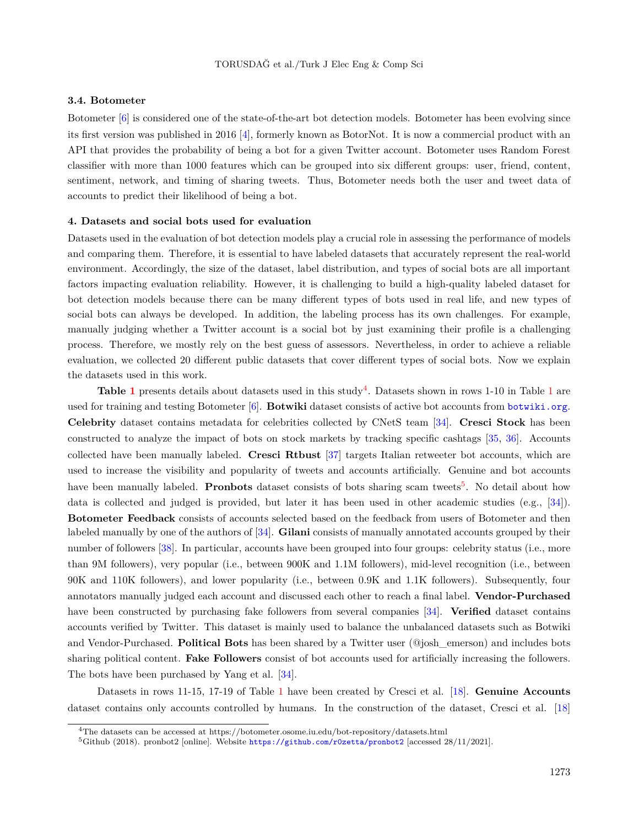## **3.4. Botometer**

Botometer [\[6](#page-13-3)] is considered one of the state-of-the-art bot detection models. Botometer has been evolving since its first version was published in 2016 [\[4](#page-13-5)], formerly known as BotorNot. It is now a commercial product with an API that provides the probability of being a bot for a given Twitter account. Botometer uses Random Forest classifier with more than 1000 features which can be grouped into six different groups: user, friend, content, sentiment, network, and timing of sharing tweets. Thus, Botometer needs both the user and tweet data of accounts to predict their likelihood of being a bot.

#### <span id="page-5-0"></span>**4. Datasets and social bots used for evaluation**

Datasets used in the evaluation of bot detection models play a crucial role in assessing the performance of models and comparing them. Therefore, it is essential to have labeled datasets that accurately represent the real-world environment. Accordingly, the size of the dataset, label distribution, and types of social bots are all important factors impacting evaluation reliability. However, it is challenging to build a high-quality labeled dataset for bot detection models because there can be many different types of bots used in real life, and new types of social bots can always be developed. In addition, the labeling process has its own challenges. For example, manually judging whether a Twitter account is a social bot by just examining their profile is a challenging process. Therefore, we mostly rely on the best guess of assessors. Nevertheless, in order to achieve a reliable evaluation, we collected 20 different public datasets that cover different types of social bots. Now we explain the datasets used in this work.

Table [1](#page-6-0) presents details about datasets used in this study<sup>[4](#page-5-1)</sup>. Datasets shown in rows 1-10 in Table 1 are used for training and testing Botometer [[6\]](#page-13-3). **Botwiki** dataset consists of active bot accounts from <botwiki.org>. **Celebrity** dataset contains metadata for celebrities collected by CNetS team [[34\]](#page-15-7). **Cresci Stock** has been constructed to analyze the impact of bots on stock markets by tracking specific cashtags [\[35](#page-15-8), [36\]](#page-15-9). Accounts collected have been manually labeled. **Cresci Rtbust** [[37\]](#page-15-10) targets Italian retweeter bot accounts, which are used to increase the visibility and popularity of tweets and accounts artificially. Genuine and bot accounts have been manually labeled. **Pronbots** dataset consists of bots sharing scam tweets<sup>[5](#page-5-2)</sup>. No detail about how data is collected and judged is provided, but later it has been used in other academic studies (e.g., [\[34](#page-15-7)]). **Botometer Feedback** consists of accounts selected based on the feedback from users of Botometer and then labeled manually by one of the authors of [\[34](#page-15-7)]. **Gilani** consists of manually annotated accounts grouped by their number of followers [[38\]](#page-15-11). In particular, accounts have been grouped into four groups: celebrity status (i.e., more than 9M followers), very popular (i.e., between 900K and 1.1M followers), mid-level recognition (i.e., between 90K and 110K followers), and lower popularity (i.e., between 0.9K and 1.1K followers). Subsequently, four annotators manually judged each account and discussed each other to reach a final label. **Vendor-Purchased** have been constructed by purchasing fake followers from several companies [[34\]](#page-15-7). **Verified** dataset contains accounts verified by Twitter. This dataset is mainly used to balance the unbalanced datasets such as Botwiki and Vendor-Purchased. **Political Bots** has been shared by a Twitter user (@josh\_emerson) and includes bots sharing political content. **Fake Followers** consist of bot accounts used for artificially increasing the followers. The bots have been purchased by Yang et al. [\[34](#page-15-7)].

Datasets in rows 11-15, 17-19 of Table [1](#page-6-0) have been created by Cresci et al. [\[18](#page-14-10)]. **Genuine Accounts** dataset contains only accounts controlled by humans. In the construction of the dataset, Cresci et al. [\[18](#page-14-10)]

<span id="page-5-1"></span><sup>4</sup>The datasets can be accessed at https://botometer.osome.iu.edu/bot-repository/datasets.html

<span id="page-5-2"></span><sup>5</sup>Github (2018). pronbot2 [online]. Website <https://github.com/r0zetta/pronbot2> [accessed 28/11/2021].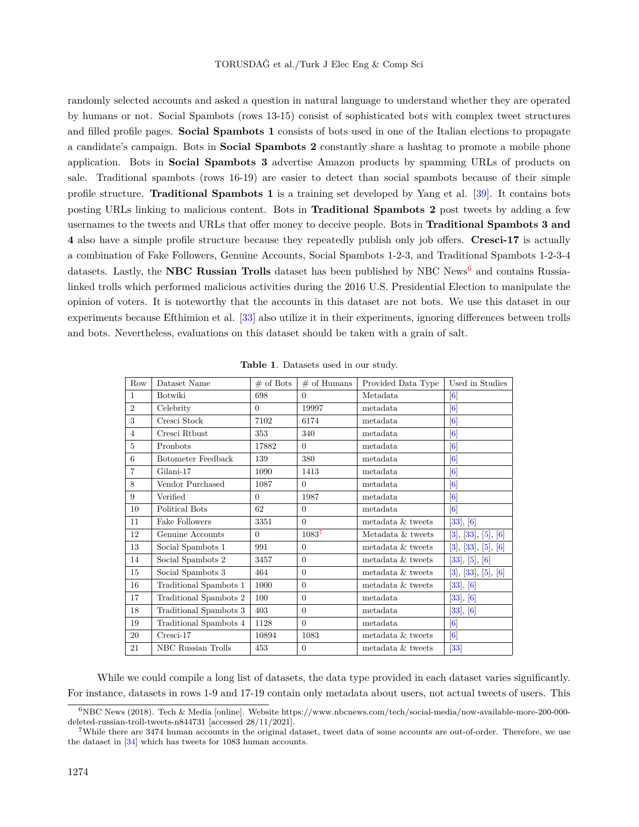randomly selected accounts and asked a question in natural language to understand whether they are operated by humans or not. Social Spambots (rows 13-15) consist of sophisticated bots with complex tweet structures and filled profile pages. **Social Spambots 1** consists of bots used in one of the Italian elections to propagate a candidate's campaign. Bots in **Social Spambots 2** constantly share a hashtag to promote a mobile phone application. Bots in **Social Spambots 3** advertise Amazon products by spamming URLs of products on sale. Traditional spambots (rows 16-19) are easier to detect than social spambots because of their simple profile structure. **Traditional Spambots 1** is a training set developed by Yang et al. [\[39](#page-15-12)]. It contains bots posting URLs linking to malicious content. Bots in **Traditional Spambots 2** post tweets by adding a few usernames to the tweets and URLs that offer money to deceive people. Bots in **Traditional Spambots 3 and 4** also have a simple profile structure because they repeatedly publish only job offers. **Cresci-17** is actually a combination of Fake Followers, Genuine Accounts, Social Spambots 1-2-3, and Traditional Spambots 1-2-3-4 datasets. Lastly, the **NBC Russian Trolls** dataset has been published by NBC News[6](#page-6-1) and contains Russialinked trolls which performed malicious activities during the 2016 U.S. Presidential Election to manipulate the opinion of voters. It is noteworthy that the accounts in this dataset are not bots. We use this dataset in our experiments because Efthimion et al. [\[33](#page-15-6)] also utilize it in their experiments, ignoring differences between trolls and bots. Nevertheless, evaluations on this dataset should be taken with a grain of salt.

| Row            | Dataset Name              | $#$ of Bots | $#$ of Humans | Provided Data Type | Used in Studies                                                                                                                                                                                                                                               |
|----------------|---------------------------|-------------|---------------|--------------------|---------------------------------------------------------------------------------------------------------------------------------------------------------------------------------------------------------------------------------------------------------------|
| $\mathbf{1}$   | Botwiki                   | 698         | $\Omega$      | Metadata           | $\left[ 6\right]$                                                                                                                                                                                                                                             |
| $\overline{2}$ | Celebrity                 | $\Omega$    | 19997         | metadata           | [6]                                                                                                                                                                                                                                                           |
| 3              | Cresci Stock              | 7102        | 6174          | metadata           | [6]                                                                                                                                                                                                                                                           |
| $\overline{4}$ | Cresci Rtbust             | 353         | 340           | metadata           | [6]                                                                                                                                                                                                                                                           |
| 5              | Pronbots                  | 17882       | $\Omega$      | metadata           | $[6] % \includegraphics[width=0.9\columnwidth]{figures/fig_1a} \caption{A small number of samples of the corresponding times of the corresponding times of the corresponding times. The number of samples are shown in the left panel.} \label{fig:1} %$      |
| 6              | <b>Botometer Feedback</b> | 139         | 380           | metadata           | [6]                                                                                                                                                                                                                                                           |
| $\overline{7}$ | Gilani-17                 | 1090        | 1413          | metadata           | [6]                                                                                                                                                                                                                                                           |
| 8              | Vendor Purchased          | 1087        | $\Omega$      | metadata           | $[6] % \includegraphics[width=0.9\columnwidth]{figures/fig_1a} \caption{A small number of samples of the corresponding times of the corresponding times of the corresponding times. The blue number of samples are shown in the left panel.} \label{fig:1} %$ |
| 9              | Verified                  | $\Omega$    | 1987          | metadata           | [6]                                                                                                                                                                                                                                                           |
| 10             | Political Bots            | 62          | $\Omega$      | metadata           | [6]                                                                                                                                                                                                                                                           |
| 11             | Fake Followers            | 3351        | $\theta$      | metadata & tweets  | [33], [6]                                                                                                                                                                                                                                                     |
| 12             | Genuine Accounts          | $\Omega$    | 10837         | Metadata & tweets  | $\lceil 6 \rceil$<br>$[3]$ , $[33]$ ,<br>[5],                                                                                                                                                                                                                 |
| 13             | Social Spambots 1         | 991         | $\Omega$      | metadata & tweets  | [3], [33], [5], [6]                                                                                                                                                                                                                                           |
| 14             | Social Spambots 2         | 3457        | $\Omega$      | metadata & tweets  | $[33]$ , $[5]$ , $[6]$                                                                                                                                                                                                                                        |
| 15             | Social Spambots 3         | 464         | $\Omega$      | metadata & tweets  | [3], [33], [5], [6]                                                                                                                                                                                                                                           |
| 16             | Traditional Spambots 1    | 1000        | $\Omega$      | metadata & tweets  | $[33]$ , $[6]$                                                                                                                                                                                                                                                |
| 17             | Traditional Spambots 2    | 100         | $\theta$      | metadata           | [33], [6]                                                                                                                                                                                                                                                     |
| 18             | Traditional Spambots 3    | 403         | $\theta$      | metadata           | [33], [6]                                                                                                                                                                                                                                                     |
| 19             | Traditional Spambots 4    | 1128        | $\Omega$      | metadata           | [6]                                                                                                                                                                                                                                                           |
| 20             | Cresci-17                 | 10894       | 1083          | metadata & tweets  | [6]                                                                                                                                                                                                                                                           |
| 21             | NBC Russian Trolls        | 453         | $\theta$      | metadata & tweets  | $\left[ 33\right]$                                                                                                                                                                                                                                            |

<span id="page-6-0"></span>**Table 1**. Datasets used in our study.

While we could compile a long list of datasets, the data type provided in each dataset varies significantly. For instance, datasets in rows 1-9 and 17-19 contain only metadata about users, not actual tweets of users. This

<span id="page-6-1"></span><sup>6</sup>NBC News (2018). Tech & Media [online]. Website https://www.nbcnews.com/tech/social-media/now-available-more-200-000 deleted-russian-troll-tweets-n844731 [accessed 28/11/2021].

<span id="page-6-2"></span><sup>7</sup>While there are 3474 human accounts in the original dataset, tweet data of some accounts are out-of-order. Therefore, we use the dataset in [\[34\]](#page-15-7) which has tweets for 1083 human accounts.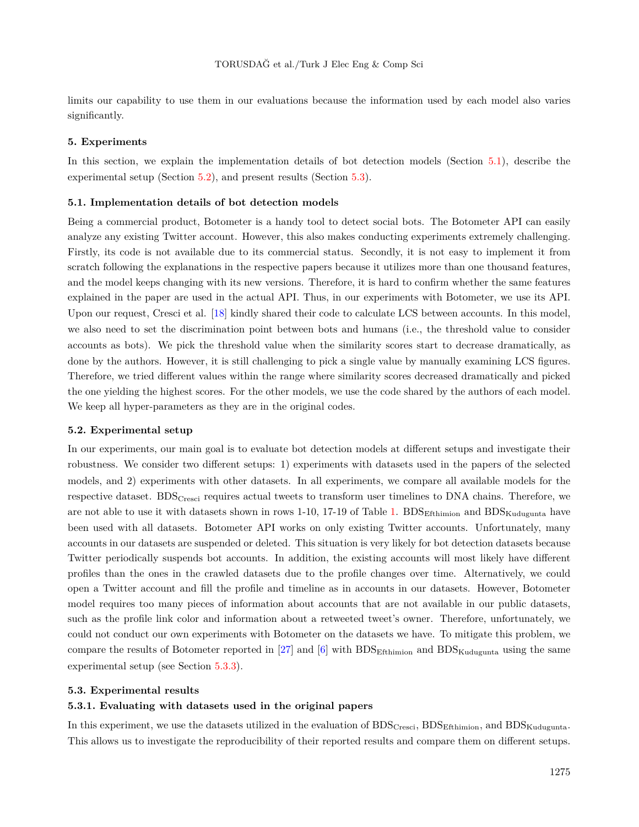limits our capability to use them in our evaluations because the information used by each model also varies significantly.

#### <span id="page-7-0"></span>**5. Experiments**

In this section, we explain the implementation details of bot detection models (Section [5.1\)](#page-7-1), describe the experimental setup (Section [5.2\)](#page-7-2), and present results (Section [5.3\)](#page-7-3).

#### <span id="page-7-1"></span>**5.1. Implementation details of bot detection models**

Being a commercial product, Botometer is a handy tool to detect social bots. The Botometer API can easily analyze any existing Twitter account. However, this also makes conducting experiments extremely challenging. Firstly, its code is not available due to its commercial status. Secondly, it is not easy to implement it from scratch following the explanations in the respective papers because it utilizes more than one thousand features, and the model keeps changing with its new versions. Therefore, it is hard to confirm whether the same features explained in the paper are used in the actual API. Thus, in our experiments with Botometer, we use its API. Upon our request, Cresci et al. [\[18](#page-14-10)] kindly shared their code to calculate LCS between accounts. In this model, we also need to set the discrimination point between bots and humans (i.e., the threshold value to consider accounts as bots). We pick the threshold value when the similarity scores start to decrease dramatically, as done by the authors. However, it is still challenging to pick a single value by manually examining LCS figures. Therefore, we tried different values within the range where similarity scores decreased dramatically and picked the one yielding the highest scores. For the other models, we use the code shared by the authors of each model. We keep all hyper-parameters as they are in the original codes.

#### <span id="page-7-2"></span>**5.2. Experimental setup**

In our experiments, our main goal is to evaluate bot detection models at different setups and investigate their robustness. We consider two different setups: 1) experiments with datasets used in the papers of the selected models, and 2) experiments with other datasets. In all experiments, we compare all available models for the respective dataset. BDS<sub>Cresci</sub> requires actual tweets to transform user timelines to DNA chains. Therefore, we are not able to use it with datasets shown in rows [1](#page-6-0)-10, 17-19 of Table 1.  $BDS<sub>Ethiminon</sub>$  and  $BDS<sub>Kudugunta</sub>$  have been used with all datasets. Botometer API works on only existing Twitter accounts. Unfortunately, many accounts in our datasets are suspended or deleted. This situation is very likely for bot detection datasets because Twitter periodically suspends bot accounts. In addition, the existing accounts will most likely have different profiles than the ones in the crawled datasets due to the profile changes over time. Alternatively, we could open a Twitter account and fill the profile and timeline as in accounts in our datasets. However, Botometer model requires too many pieces of information about accounts that are not available in our public datasets, such as the profile link color and information about a retweeted tweet's owner. Therefore, unfortunately, we could not conduct our own experiments with Botometer on the datasets we have. To mitigate this problem, we compare the results of Botometer reported in [[27\]](#page-15-0)and  $[6]$  $[6]$  with BDS $_{\rm Etthimion}$  and BDS $_{\rm Kudueunta}$  using the same experimental setup (see Section [5.3.3](#page-9-0)).

### <span id="page-7-3"></span>**5.3. Experimental results**

## **5.3.1. Evaluating with datasets used in the original papers**

In this experiment, we use the datasets utilized in the evaluation of BDS<sub>Cresci</sub>, BDS<sub>Ethimion</sub>, and BDS<sub>Kudugunta</sub>. This allows us to investigate the reproducibility of their reported results and compare them on different setups.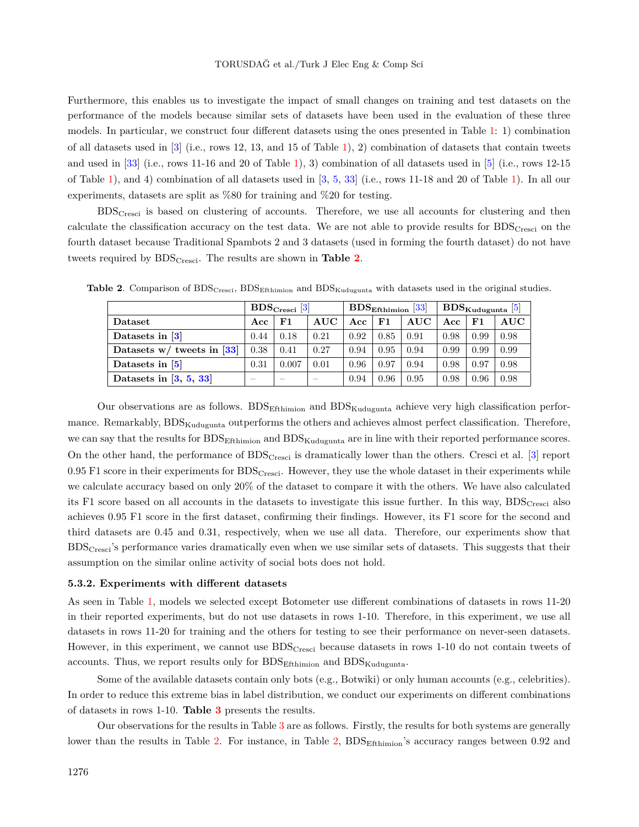Furthermore, this enables us to investigate the impact of small changes on training and test datasets on the performance of the models because similar sets of datasets have been used in the evaluation of these three models. In particular, we construct four different datasets using the ones presented in Table [1](#page-6-0): 1) combination of all datasets used in  $[3]$  $[3]$  (i.e., rows [1](#page-6-0)2, 13, and 15 of Table 1), 2) combination of datasets that contain tweets and used in [[33](#page-15-6)] (i.e., rows 11-16 and 20 of Table [1](#page-6-0)), 3) combination of all datasets used in [[5\]](#page-13-4) (i.e., rows 12-15 of Table [1\)](#page-6-0), and 4) combination of all datasets used in [\[3](#page-13-2), [5](#page-13-4), [33](#page-15-6)] (i.e., rows 11-18 and 20 of Table [1](#page-6-0)). In all our experiments, datasets are split as %80 for training and %20 for testing.

BDSCresci is based on clustering of accounts. Therefore, we use all accounts for clustering and then calculate the classification accuracy on the test data. We are not able to provide results for BDS<sub>Cresci</sub> on the fourth dataset because Traditional Spambots 2 and 3 datasets (used in forming the fourth dataset) do not have tweets required by BDSCresci. The results are shown in **Table [2](#page-8-0)**.

<span id="page-8-0"></span>

|                              | $BDS_{\text{Cresci}}$ [3] |                          |                          |      |      | $\text{BDS}_{\text{Effhimin}}$ [33] | $\text{BDS}_{\text{Kudugunta}}$ [5] |      |            |
|------------------------------|---------------------------|--------------------------|--------------------------|------|------|-------------------------------------|-------------------------------------|------|------------|
| Dataset                      | Acc                       | $_{\rm F1}$              | AUC                      | Acc  | F1   | AUC                                 | Acc                                 | F1   | <b>AUC</b> |
| Datasets in [3]              | 0.44                      | 0.18                     | 0.21                     | 0.92 | 0.85 | 0.91                                | 0.98                                | 0.99 | 0.98       |
| Datasets $w/$ tweets in [33] | 0.38                      | 0.41                     | 0.27                     | 0.94 | 0.95 | 0.94                                | 0.99                                | 0.99 | 0.99       |
| Datasets in [5]              | 0.31                      | 0.007                    | 0.01                     | 0.96 | 0.97 | 0.94                                | 0.98                                | 0.97 | 0.98       |
| Datasets in $[3, 5, 33]$     | $\overline{\phantom{a}}$  | $\overline{\phantom{a}}$ | $\overline{\phantom{a}}$ | 0.94 | 0.96 | 0.95                                | 0.98                                | 0.96 | 0.98       |

**Table 2.** Comparison of BDS<sub>Cresci</sub>, BDS<sub>Efthimion</sub> and BDS<sub>Kudugunta</sub> with datasets used in the original studies.

Our observations are as follows. BDS $_{\rm Etthimion}$  and BDS $_{\rm Kudugunta}$  achieve very high classification performance. Remarkably, BDS<sub>Kudugunta</sub> outperforms the others and achieves almost perfect classification. Therefore, we can say that the results for BDS<sub>Efthimion</sub> and BDS<sub>Kudugunta</sub> are in line with their reported performance scores. On the other hand, the performance of  $BDS_{\text{Cresci}}$  is dramatically lower than the others. Cresci et al. [[3\]](#page-13-2) report  $0.95$  F1 score in their experiments for  $BDS_{Cresci}$ . However, they use the whole dataset in their experiments while we calculate accuracy based on only 20% of the dataset to compare it with the others. We have also calculated its F1 score based on all accounts in the datasets to investigate this issue further. In this way, BDS<sub>Cresci</sub> also achieves 0.95 F1 score in the first dataset, confirming their findings. However, its F1 score for the second and third datasets are 0.45 and 0.31, respectively, when we use all data. Therefore, our experiments show that  $BDS<sub>Cresci</sub>'s performance varies dramatically even when we use similar sets of datasets. This suggests that their$ assumption on the similar online activity of social bots does not hold.

#### **5.3.2. Experiments with different datasets**

As seen in Table [1](#page-6-0), models we selected except Botometer use different combinations of datasets in rows 11-20 in their reported experiments, but do not use datasets in rows 1-10. Therefore, in this experiment, we use all datasets in rows 11-20 for training and the others for testing to see their performance on never-seen datasets. However, in this experiment, we cannot use  $BDS_{\text{Cresci}}$  because datasets in rows 1-10 do not contain tweets of accounts. Thus, we report results only for  $BDS<sub>Efthimion</sub>$  and  $BDS<sub>Kudugunta</sub>$ .

Some of the available datasets contain only bots (e.g., Botwiki) or only human accounts (e.g., celebrities). In order to reduce this extreme bias in label distribution, we conduct our experiments on different combinations of datasets in rows 1-10. **Table [3](#page-9-1)** presents the results.

Our observations for the results in Table [3](#page-9-1) are as follows. Firstly, the results for both systems are generally lower than the results in Table [2](#page-8-0). For instance, in Table 2, BDS<sub>Efthimion</sub>'s accuracy ranges between 0.92 and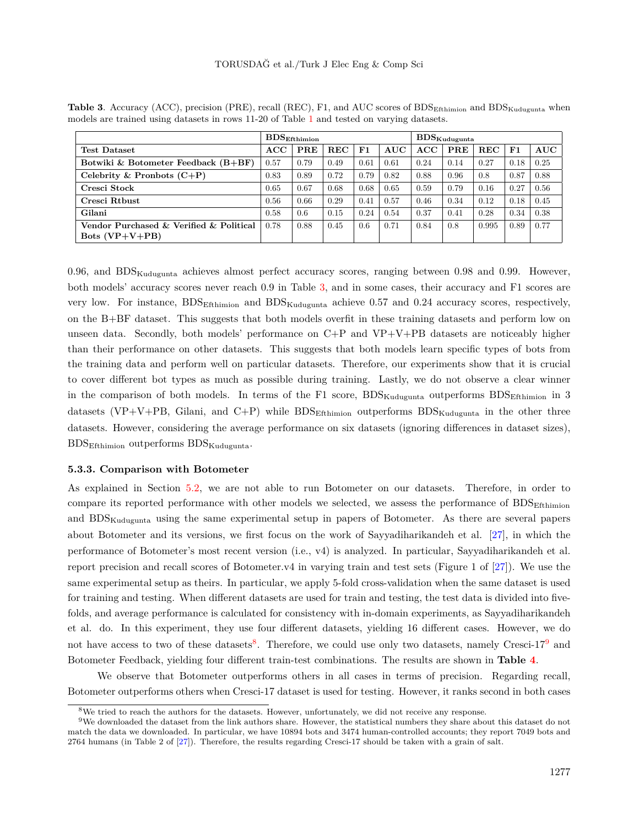|                                                             | $\mathrm{BDS}_{\rm Efthimin}$ |      |            |      |            | $\pm \text{BDS}_{\text{Kudugunta}}$ |      |            |      |            |
|-------------------------------------------------------------|-------------------------------|------|------------|------|------------|-------------------------------------|------|------------|------|------------|
| <b>Test Dataset</b>                                         | ACC                           | PRE  | <b>REC</b> | F1   | <b>AUC</b> | ACC                                 | PRE  | <b>REC</b> | F1   | <b>AUC</b> |
| Botwiki & Botometer Feedback $(B+BF)$                       | 0.57                          | 0.79 | 0.49       | 0.61 | 0.61       | 0.24                                | 0.14 | 0.27       | 0.18 | 0.25       |
| Celebrity & Pronbots $(C+P)$                                | 0.83                          | 0.89 | 0.72       | 0.79 | 0.82       | 0.88                                | 0.96 | 0.8        | 0.87 | 0.88       |
| Cresci Stock                                                | 0.65                          | 0.67 | 0.68       | 0.68 | 0.65       | 0.59                                | 0.79 | 0.16       | 0.27 | 0.56       |
| Cresci Rtbust                                               | 0.56                          | 0.66 | 0.29       | 0.41 | 0.57       | 0.46                                | 0.34 | 0.12       | 0.18 | 0.45       |
| Gilani                                                      | 0.58                          | 0.6  | 0.15       | 0.24 | 0.54       | 0.37                                | 0.41 | 0.28       | 0.34 | 0.38       |
| Vendor Purchased & Verified & Political<br>Bots $(VP+V+PB)$ | 0.78                          | 0.88 | 0.45       | 0.6  | 0.71       | 0.84                                | 0.8  | 0.995      | 0.89 | 0.77       |

<span id="page-9-1"></span>Table 3. Accuracy (ACC), precision (PRE), recall (REC), F1, and AUC scores of BDS<sub>Efthimion</sub> and BDS<sub>Kudugunta</sub> when models are trained using datasets in rows 11-20 of Table [1](#page-6-0) and tested on varying datasets.

0.96, and  $BDS_{Kudueunta}$  achieves almost perfect accuracy scores, ranging between 0.98 and 0.99. However, both models' accuracy scores never reach 0.9 in Table [3](#page-9-1), and in some cases, their accuracy and F1 scores are very low. For instance,  $BDS_{\text{Ethimion}}$  and  $BDS_{\text{Kudugunta}}$  achieve 0.57 and 0.24 accuracy scores, respectively, on the B+BF dataset. This suggests that both models overfit in these training datasets and perform low on unseen data. Secondly, both models' performance on C+P and VP+V+PB datasets are noticeably higher than their performance on other datasets. This suggests that both models learn specific types of bots from the training data and perform well on particular datasets. Therefore, our experiments show that it is crucial to cover different bot types as much as possible during training. Lastly, we do not observe a clear winner in the comparison of both models. In terms of the F1 score,  $BDS_{Kudugunta}$  outperforms  $BDS_{Efthiminon}$  in 3 datasets (VP+V+PB, Gilani, and C+P) while  $BDS<sub>Efthimion</sub>$  outperforms  $BDS<sub>Kudugunta</sub>$  in the other three datasets. However, considering the average performance on six datasets (ignoring differences in dataset sizes),  $BDS<sub>Efthimion</sub> outperforms  $BDS<sub>Kudugunta</sub>$ .$ 

#### <span id="page-9-0"></span>**5.3.3. Comparison with Botometer**

As explained in Section [5.2](#page-7-2), we are not able to run Botometer on our datasets. Therefore, in order to compare its reported performance with other models we selected, we assess the performance of  $BDS<sub>Efthimion</sub>$ and BDS<sub>Kudugunta</sub> using the same experimental setup in papers of Botometer. As there are several papers about Botometer and its versions, we first focus on the work of Sayyadiharikandeh et al. [[27\]](#page-15-0), in which the performance of Botometer's most recent version (i.e., v4) is analyzed. In particular, Sayyadiharikandeh et al. report precision and recall scores of Botometer.  $v_4$  in varying train and test sets (Figure 1 of [\[27](#page-15-0)]). We use the same experimental setup as theirs. In particular, we apply 5-fold cross-validation when the same dataset is used for training and testing. When different datasets are used for train and testing, the test data is divided into fivefolds, and average performance is calculated for consistency with in-domain experiments, as Sayyadiharikandeh et al. do. In this experiment, they use four different datasets, yielding 16 different cases. However, we do not have access to two of these datasets<sup>[8](#page-9-2)</sup>. Therefore, we could use only two datasets, namely Cresci-17<sup>[9](#page-9-3)</sup> and Botometer Feedback, yielding four different train-test combinations. The results are shown in **Table [4](#page-10-0)**.

We observe that Botometer outperforms others in all cases in terms of precision. Regarding recall, Botometer outperforms others when Cresci-17 dataset is used for testing. However, it ranks second in both cases

<span id="page-9-3"></span><span id="page-9-2"></span><sup>8</sup>We tried to reach the authors for the datasets. However, unfortunately, we did not receive any response.

 $9$ We downloaded the dataset from the link authors share. However, the statistical numbers they share about this dataset do not match the data we downloaded. In particular, we have 10894 bots and 3474 human-controlled accounts; they report 7049 bots and 2764 humans (in Table 2 of [\[27\]](#page-15-0)). Therefore, the results regarding Cresci-17 should be taken with a grain of salt.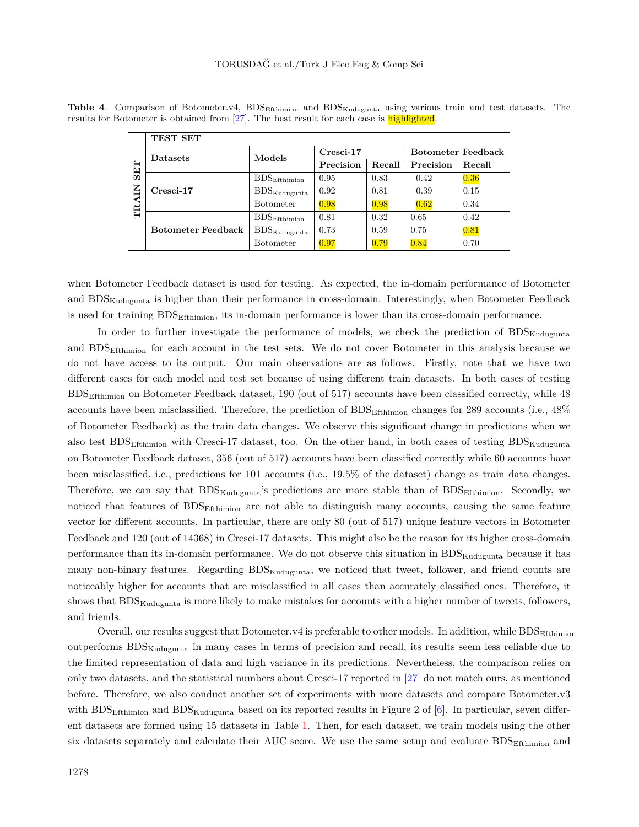<span id="page-10-0"></span>

|                        | TEST SET                  |                                     |             |        |                           |        |  |
|------------------------|---------------------------|-------------------------------------|-------------|--------|---------------------------|--------|--|
| <b>SET</b><br>Ξ<br>TRA | <b>Datasets</b>           | Models                              | $Cresci-17$ |        | <b>Botometer Feedback</b> |        |  |
|                        |                           |                                     | Precision   | Recall | Precision                 | Recall |  |
|                        | Cresci-17                 | $\mathrm{BDS}_{\mathrm{Effhimin}}$  | 0.95        | 0.83   | 0.42                      | 0.36   |  |
|                        |                           | $BDS_{\text{Kudugunta}}$            | 0.92        | 0.81   | 0.39                      | 0.15   |  |
|                        |                           | <b>Botometer</b>                    | 0.98        | 0.98   | 0.62                      | 0.34   |  |
|                        | <b>Botometer Feedback</b> | $\mathrm{BDS}_{\mathrm{Effhimin}}$  | 0.81        | 0.32   | 0.65                      | 0.42   |  |
|                        |                           | $\mathrm{BDS}_{\mathrm{Kudugunta}}$ | 0.73        | 0.59   | 0.75                      | 0.81   |  |
|                        |                           | <b>Botometer</b>                    | 0.97        | 0.79   | 0.84                      | 0.70   |  |

**Table 4.** Comparison of Botometer.v4, BDS<sub>Efthimion</sub> and BDS<sub>Kudugunta</sub> using various train and test datasets. The results for Botometer is obtained from [\[27\]](#page-15-0). The best result for each case is highlighted.

when Botometer Feedback dataset is used for testing. As expected, the in-domain performance of Botometer and BDS<sub>Kudugunta</sub> is higher than their performance in cross-domain. Interestingly, when Botometer Feedback is used for training BDSEfthimion, its in-domain performance is lower than its cross-domain performance.

In order to further investigate the performance of models, we check the prediction of  $BDS_{Kudueunta}$ and BDSEfthimion for each account in the test sets. We do not cover Botometer in this analysis because we do not have access to its output. Our main observations are as follows. Firstly, note that we have two different cases for each model and test set because of using different train datasets. In both cases of testing BDSEfthimion on Botometer Feedback dataset, 190 (out of 517) accounts have been classified correctly, while 48 accounts have been misclassified. Therefore, the prediction of BDS<sub>Efthimion</sub> changes for 289 accounts (i.e., 48% of Botometer Feedback) as the train data changes. We observe this significant change in predictions when we also test  $BDS<sub>Etthimion</sub>$  with Cresci-17 dataset, too. On the other hand, in both cases of testing  $BDS<sub>Kudugunta</sub>$ on Botometer Feedback dataset, 356 (out of 517) accounts have been classified correctly while 60 accounts have been misclassified, i.e., predictions for 101 accounts (i.e., 19.5% of the dataset) change as train data changes. Therefore, we can say that BDS<sub>Kudugunta</sub>'s predictions are more stable than of BDS<sub>Efthimion</sub>. Secondly, we noticed that features of BDS<sub>Efthimion</sub> are not able to distinguish many accounts, causing the same feature vector for different accounts. In particular, there are only 80 (out of 517) unique feature vectors in Botometer Feedback and 120 (out of 14368) in Cresci-17 datasets. This might also be the reason for its higher cross-domain performance than its in-domain performance. We do not observe this situation in BDS<sub>Kudugunta</sub> because it has many non-binary features. Regarding BDS<sub>Kudugunta</sub>, we noticed that tweet, follower, and friend counts are noticeably higher for accounts that are misclassified in all cases than accurately classified ones. Therefore, it shows that BDS<sub>Kudugunta</sub> is more likely to make mistakes for accounts with a higher number of tweets, followers, and friends.

Overall, our results suggest that Botometer.v4 is preferable to other models. In addition, while BDS<sub>Efthimion</sub> outperforms  $BDS_{Kudugunta}$  in many cases in terms of precision and recall, its results seem less reliable due to the limited representation of data and high variance in its predictions. Nevertheless, the comparison relies on only two datasets, and the statistical numbers about Cresci-17 reported in [\[27](#page-15-0)] do not match ours, as mentioned before. Therefore, we also conduct another set of experiments with more datasets and compare Botometer.v3 with  $BDS<sub>Effhiminon</sub>$  and  $BDS<sub>Kudugunta</sub>$  based on its reported results in Figure 2 of [[6\]](#page-13-3). In particular, seven different datasets are formed using 15 datasets in Table [1.](#page-6-0) Then, for each dataset, we train models using the other six datasets separately and calculate their AUC score. We use the same setup and evaluate BDS<sub>Efthimion</sub> and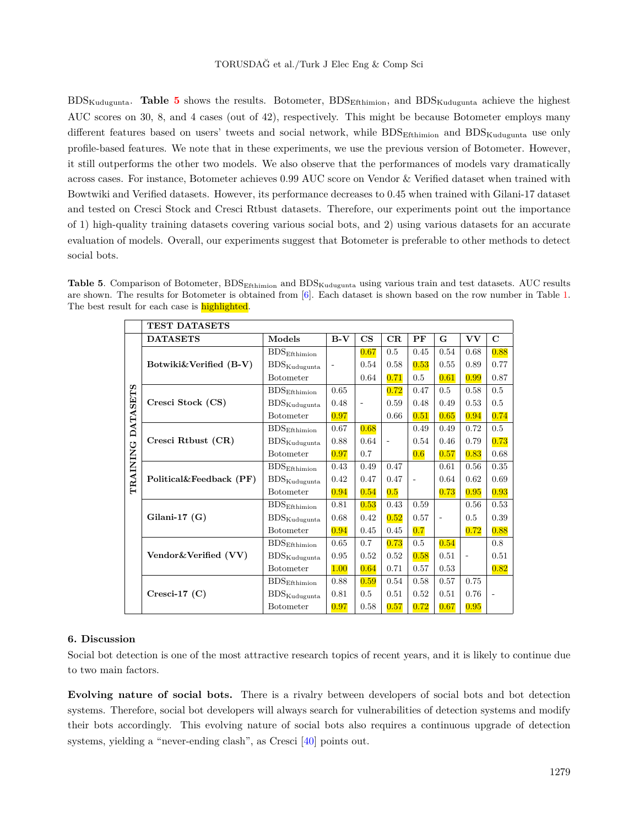BDSKudugunta. **Table [5](#page-11-1)** shows the results. Botometer, BDSEfthimion, and BDSKudugunta achieve the highest AUC scores on 30, 8, and 4 cases (out of 42), respectively. This might be because Botometer employs many different features based on users' tweets and social network, while  $BDS<sub>Efthimion</sub>$  and  $BDS<sub>Kudugunta</sub>$  use only profile-based features. We note that in these experiments, we use the previous version of Botometer. However, it still outperforms the other two models. We also observe that the performances of models vary dramatically across cases. For instance, Botometer achieves 0.99 AUC score on Vendor & Verified dataset when trained with Bowtwiki and Verified datasets. However, its performance decreases to 0.45 when trained with Gilani-17 dataset and tested on Cresci Stock and Cresci Rtbust datasets. Therefore, our experiments point out the importance of 1) high-quality training datasets covering various social bots, and 2) using various datasets for an accurate evaluation of models. Overall, our experiments suggest that Botometer is preferable to other methods to detect social bots.

<span id="page-11-1"></span>**Table 5**. Comparison of Botometer, BDSEfthimion and BDSKudugunta using various train and test datasets. AUC results are shown. The results for Botometer is obtained from [\[6](#page-13-3)]. Each dataset is shown based on the row number in Table [1](#page-6-0). The best result for each case is **highlighted**.

|                 | <b>TEST DATASETS</b>     |                                     |                |               |             |      |                |                |             |  |
|-----------------|--------------------------|-------------------------------------|----------------|---------------|-------------|------|----------------|----------------|-------------|--|
|                 | <b>DATASETS</b>          | Models                              | $B-V$          | $\mathbf{CS}$ | $_{\rm CR}$ | PF   | G              | VV             | $\mathbf C$ |  |
|                 |                          | $\mathrm{BDS}_{\mathrm{Effhimin}}$  |                | 0.67          | 0.5         | 0.45 | 0.54           | 0.68           | 0.88        |  |
|                 | Botwiki&Verified $(B-V)$ | $\mathrm{BDS}_{\mathrm{Kudugunta}}$ | $\overline{a}$ | 0.54          | 0.58        | 0.53 | 0.55           | 0.89           | 0.77        |  |
|                 |                          | <b>Botometer</b>                    |                | 0.64          | 0.71        | 0.5  | 0.61           | 0.99           | 0.87        |  |
|                 |                          | $\mathrm{BDS}_{\mathrm{Effhimin}}$  | 0.65           |               | 0.72        | 0.47 | 0.5            | 0.58           | 0.5         |  |
|                 | Cresci Stock (CS)        | $\mathrm{BDS}_{\mathrm{Kudugunta}}$ | 0.48           | ÷,            | 0.59        | 0.48 | 0.49           | 0.53           | 0.5         |  |
| <b>DATASETS</b> |                          | <b>Botometer</b>                    | 0.97           |               | 0.66        | 0.51 | 0.65           | 0.94           | 0.74        |  |
|                 |                          | BDS <sub>Efthimion</sub>            | 0.67           | 0.68          |             | 0.49 | 0.49           | 0.72           | 0.5         |  |
|                 | Cresci Rtbust (CR)       | $\mathrm{BDS}_{\mathrm{Kudugunta}}$ | 0.88           | 0.64          |             | 0.54 | 0.46           | 0.79           | 0.73        |  |
|                 |                          | <b>Botometer</b>                    | 0.97           | 0.7           |             | 0.6  | 0.57           | 0.83           | 0.68        |  |
| TRAINING        |                          | $\rm{BDS}_{\rm{Effhimin}}$          | 0.43           | 0.49          | 0.47        |      | 0.61           | 0.56           | 0.35        |  |
|                 | Political&Feedback (PF)  | $\mathrm{BDS}_{\mathrm{Kudugunta}}$ | 0.42           | 0.47          | 0.47        |      | 0.64           | 0.62           | 0.69        |  |
|                 |                          | <b>Botometer</b>                    | 0.94           | 0.54          | 0.5         |      | 0.73           | 0.95           | 0.93        |  |
|                 |                          | BDS <sub>Efthimion</sub>            | 0.81           | 0.53          | 0.43        | 0.59 |                | 0.56           | 0.53        |  |
|                 | Gilani-17 $(G)$          | $\mathrm{BDS}_{\mathrm{Kudugunta}}$ | 0.68           | 0.42          | 0.52        | 0.57 | $\overline{a}$ | 0.5            | 0.39        |  |
|                 |                          | <b>Botometer</b>                    | 0.94           | 0.45          | 0.45        | 0.7  |                | 0.72           | 0.88        |  |
|                 |                          | $\mathrm{BDS}_{\mathrm{Effhimin}}$  | 0.65           | 0.7           | 0.73        | 0.5  | 0.54           |                | 0.8         |  |
|                 | Vendor & Verified (VV)   | $\mathrm{BDS}_{\mathrm{Kudugunta}}$ | 0.95           | 0.52          | 0.52        | 0.58 | 0.51           | $\overline{a}$ | 0.51        |  |
|                 |                          | <b>Botometer</b>                    | 1.00           | 0.64          | 0.71        | 0.57 | 0.53           |                | 0.82        |  |
|                 |                          | BDS <sub>Efthimion</sub>            | 0.88           | 0.59          | 0.54        | 0.58 | 0.57           | 0.75           |             |  |
|                 | $Cresci-17(C)$           | $\mathrm{BDS}_{\mathrm{Kudugunta}}$ | 0.81           | 0.5           | 0.51        | 0.52 | 0.51           | 0.76           |             |  |
|                 |                          | <b>Botometer</b>                    | 0.97           | 0.58          | 0.57        | 0.72 | 0.67           | 0.95           |             |  |

## <span id="page-11-0"></span>**6. Discussion**

Social bot detection is one of the most attractive research topics of recent years, and it is likely to continue due to two main factors.

**Evolving nature of social bots.** There is a rivalry between developers of social bots and bot detection systems. Therefore, social bot developers will always search for vulnerabilities of detection systems and modify their bots accordingly. This evolving nature of social bots also requires a continuous upgrade of detection systems, yielding a "never-ending clash", as Cresci [\[40](#page-15-13)] points out.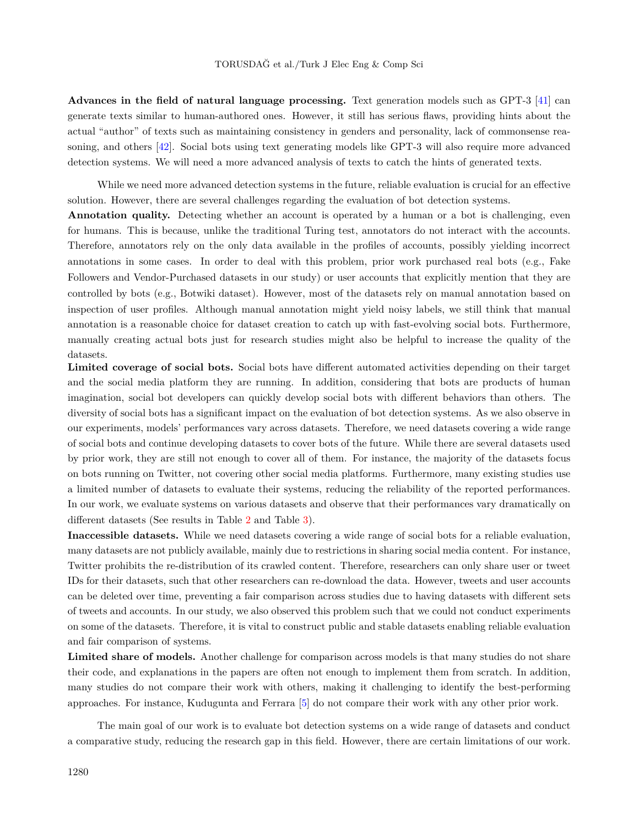**Advances in the field of natural language processing.** Text generation models such as GPT-3 [[41](#page-15-14)] can generate texts similar to human-authored ones. However, it still has serious flaws, providing hints about the actual "author" of texts such as maintaining consistency in genders and personality, lack of commonsense reasoning, and others [\[42](#page-15-15)]. Social bots using text generating models like GPT-3 will also require more advanced detection systems. We will need a more advanced analysis of texts to catch the hints of generated texts.

While we need more advanced detection systems in the future, reliable evaluation is crucial for an effective solution. However, there are several challenges regarding the evaluation of bot detection systems.

**Annotation quality.** Detecting whether an account is operated by a human or a bot is challenging, even for humans. This is because, unlike the traditional Turing test, annotators do not interact with the accounts. Therefore, annotators rely on the only data available in the profiles of accounts, possibly yielding incorrect annotations in some cases. In order to deal with this problem, prior work purchased real bots (e.g., Fake Followers and Vendor-Purchased datasets in our study) or user accounts that explicitly mention that they are controlled by bots (e.g., Botwiki dataset). However, most of the datasets rely on manual annotation based on inspection of user profiles. Although manual annotation might yield noisy labels, we still think that manual annotation is a reasonable choice for dataset creation to catch up with fast-evolving social bots. Furthermore, manually creating actual bots just for research studies might also be helpful to increase the quality of the datasets.

**Limited coverage of social bots.** Social bots have different automated activities depending on their target and the social media platform they are running. In addition, considering that bots are products of human imagination, social bot developers can quickly develop social bots with different behaviors than others. The diversity of social bots has a significant impact on the evaluation of bot detection systems. As we also observe in our experiments, models' performances vary across datasets. Therefore, we need datasets covering a wide range of social bots and continue developing datasets to cover bots of the future. While there are several datasets used by prior work, they are still not enough to cover all of them. For instance, the majority of the datasets focus on bots running on Twitter, not covering other social media platforms. Furthermore, many existing studies use a limited number of datasets to evaluate their systems, reducing the reliability of the reported performances. In our work, we evaluate systems on various datasets and observe that their performances vary dramatically on different datasets (See results in Table [2](#page-8-0) and Table [3](#page-9-1)).

**Inaccessible datasets.** While we need datasets covering a wide range of social bots for a reliable evaluation, many datasets are not publicly available, mainly due to restrictions in sharing social media content. For instance, Twitter prohibits the re-distribution of its crawled content. Therefore, researchers can only share user or tweet IDs for their datasets, such that other researchers can re-download the data. However, tweets and user accounts can be deleted over time, preventing a fair comparison across studies due to having datasets with different sets of tweets and accounts. In our study, we also observed this problem such that we could not conduct experiments on some of the datasets. Therefore, it is vital to construct public and stable datasets enabling reliable evaluation and fair comparison of systems.

Limited share of models. Another challenge for comparison across models is that many studies do not share their code, and explanations in the papers are often not enough to implement them from scratch. In addition, many studies do not compare their work with others, making it challenging to identify the best-performing approaches. For instance, Kudugunta and Ferrara [\[5](#page-13-4)] do not compare their work with any other prior work.

The main goal of our work is to evaluate bot detection systems on a wide range of datasets and conduct a comparative study, reducing the research gap in this field. However, there are certain limitations of our work.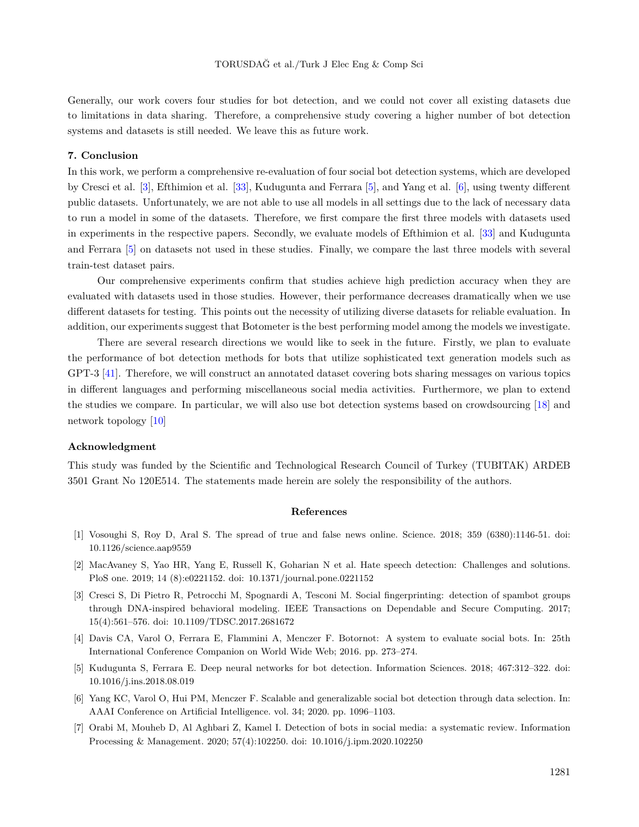Generally, our work covers four studies for bot detection, and we could not cover all existing datasets due to limitations in data sharing. Therefore, a comprehensive study covering a higher number of bot detection systems and datasets is still needed. We leave this as future work.

#### <span id="page-13-6"></span>**7. Conclusion**

In this work, we perform a comprehensive re-evaluation of four social bot detection systems, which are developed by Cresci et al. [[3\]](#page-13-2), Efthimion et al. [[33\]](#page-15-6), Kudugunta and Ferrara [[5\]](#page-13-4), and Yang et al. [\[6](#page-13-3)], using twenty different public datasets. Unfortunately, we are not able to use all models in all settings due to the lack of necessary data to run a model in some of the datasets. Therefore, we first compare the first three models with datasets used in experiments in the respective papers. Secondly, we evaluate models of Efthimion et al. [\[33](#page-15-6)] and Kudugunta and Ferrara [\[5\]](#page-13-4) on datasets not used in these studies. Finally, we compare the last three models with several train-test dataset pairs.

Our comprehensive experiments confirm that studies achieve high prediction accuracy when they are evaluated with datasets used in those studies. However, their performance decreases dramatically when we use different datasets for testing. This points out the necessity of utilizing diverse datasets for reliable evaluation. In addition, our experiments suggest that Botometer is the best performing model among the models we investigate.

There are several research directions we would like to seek in the future. Firstly, we plan to evaluate the performance of bot detection methods for bots that utilize sophisticated text generation models such as GPT-3 [[41\]](#page-15-14). Therefore, we will construct an annotated dataset covering bots sharing messages on various topics in different languages and performing miscellaneous social media activities. Furthermore, we plan to extend the studies we compare. In particular, we will also use bot detection systems based on crowdsourcing [[18\]](#page-14-10) and network topology [[10\]](#page-14-2)

## **Acknowledgment**

This study was funded by the Scientific and Technological Research Council of Turkey (TUBITAK) ARDEB 3501 Grant No 120E514. The statements made herein are solely the responsibility of the authors.

## **References**

- <span id="page-13-0"></span>[1] Vosoughi S, Roy D, Aral S. The spread of true and false news online. Science. 2018; 359 (6380):1146-51. doi: 10.1126/science.aap9559
- <span id="page-13-1"></span>[2] MacAvaney S, Yao HR, Yang E, Russell K, Goharian N et al. Hate speech detection: Challenges and solutions. PloS one. 2019; 14 (8):e0221152. doi: 10.1371/journal.pone.0221152
- <span id="page-13-2"></span>[3] Cresci S, Di Pietro R, Petrocchi M, Spognardi A, Tesconi M. Social fingerprinting: detection of spambot groups through DNA-inspired behavioral modeling. IEEE Transactions on Dependable and Secure Computing. 2017; 15(4):561–576. doi: 10.1109/TDSC.2017.2681672
- <span id="page-13-5"></span>[4] Davis CA, Varol O, Ferrara E, Flammini A, Menczer F. Botornot: A system to evaluate social bots. In: 25th International Conference Companion on World Wide Web; 2016. pp. 273–274.
- <span id="page-13-4"></span>[5] Kudugunta S, Ferrara E. Deep neural networks for bot detection. Information Sciences. 2018; 467:312–322. doi: 10.1016/j.ins.2018.08.019
- <span id="page-13-3"></span>[6] Yang KC, Varol O, Hui PM, Menczer F. Scalable and generalizable social bot detection through data selection. In: AAAI Conference on Artificial Intelligence. vol. 34; 2020. pp. 1096–1103.
- <span id="page-13-7"></span>[7] Orabi M, Mouheb D, Al Aghbari Z, Kamel I. Detection of bots in social media: a systematic review. Information Processing & Management. 2020; 57(4):102250. doi: 10.1016/j.ipm.2020.102250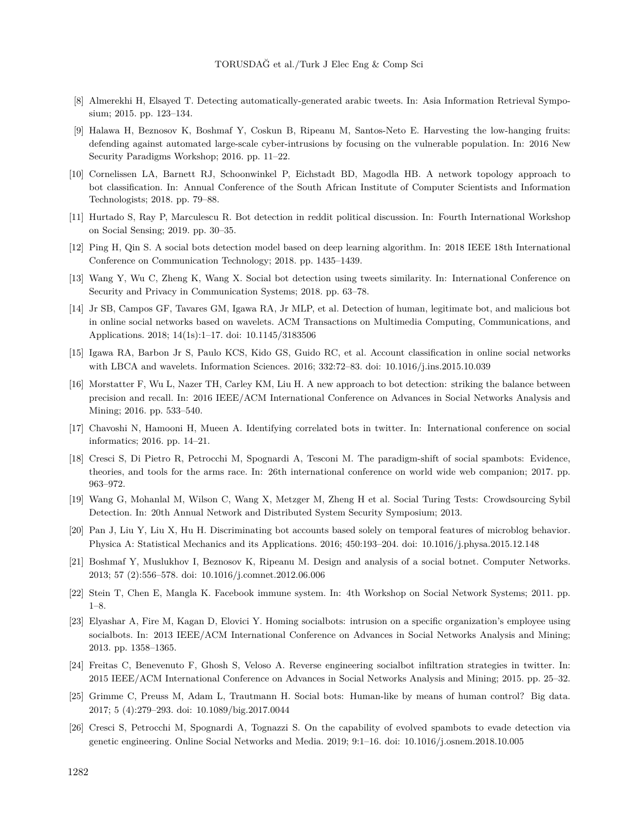- <span id="page-14-0"></span>[8] Almerekhi H, Elsayed T. Detecting automatically-generated arabic tweets. In: Asia Information Retrieval Symposium; 2015. pp. 123–134.
- <span id="page-14-1"></span>[9] Halawa H, Beznosov K, Boshmaf Y, Coskun B, Ripeanu M, Santos-Neto E. Harvesting the low-hanging fruits: defending against automated large-scale cyber-intrusions by focusing on the vulnerable population. In: 2016 New Security Paradigms Workshop; 2016. pp. 11–22.
- <span id="page-14-2"></span>[10] Cornelissen LA, Barnett RJ, Schoonwinkel P, Eichstadt BD, Magodla HB. A network topology approach to bot classification. In: Annual Conference of the South African Institute of Computer Scientists and Information Technologists; 2018. pp. 79–88.
- <span id="page-14-3"></span>[11] Hurtado S, Ray P, Marculescu R. Bot detection in reddit political discussion. In: Fourth International Workshop on Social Sensing; 2019. pp. 30–35.
- <span id="page-14-4"></span>[12] Ping H, Qin S. A social bots detection model based on deep learning algorithm. In: 2018 IEEE 18th International Conference on Communication Technology; 2018. pp. 1435–1439.
- <span id="page-14-5"></span>[13] Wang Y, Wu C, Zheng K, Wang X. Social bot detection using tweets similarity. In: International Conference on Security and Privacy in Communication Systems; 2018. pp. 63–78.
- <span id="page-14-6"></span>[14] Jr SB, Campos GF, Tavares GM, Igawa RA, Jr MLP, et al. Detection of human, legitimate bot, and malicious bot in online social networks based on wavelets. ACM Transactions on Multimedia Computing, Communications, and Applications. 2018; 14(1s):1–17. doi: 10.1145/3183506
- <span id="page-14-7"></span>[15] Igawa RA, Barbon Jr S, Paulo KCS, Kido GS, Guido RC, et al. Account classification in online social networks with LBCA and wavelets. Information Sciences. 2016; 332:72–83. doi: 10.1016/j.ins.2015.10.039
- <span id="page-14-8"></span>[16] Morstatter F, Wu L, Nazer TH, Carley KM, Liu H. A new approach to bot detection: striking the balance between precision and recall. In: 2016 IEEE/ACM International Conference on Advances in Social Networks Analysis and Mining; 2016. pp. 533–540.
- <span id="page-14-9"></span>[17] Chavoshi N, Hamooni H, Mueen A. Identifying correlated bots in twitter. In: International conference on social informatics; 2016. pp. 14–21.
- <span id="page-14-10"></span>[18] Cresci S, Di Pietro R, Petrocchi M, Spognardi A, Tesconi M. The paradigm-shift of social spambots: Evidence, theories, and tools for the arms race. In: 26th international conference on world wide web companion; 2017. pp. 963–972.
- <span id="page-14-11"></span>[19] Wang G, Mohanlal M, Wilson C, Wang X, Metzger M, Zheng H et al. Social Turing Tests: Crowdsourcing Sybil Detection. In: 20th Annual Network and Distributed System Security Symposium; 2013.
- <span id="page-14-12"></span>[20] Pan J, Liu Y, Liu X, Hu H. Discriminating bot accounts based solely on temporal features of microblog behavior. Physica A: Statistical Mechanics and its Applications. 2016; 450:193–204. doi: 10.1016/j.physa.2015.12.148
- <span id="page-14-13"></span>[21] Boshmaf Y, Muslukhov I, Beznosov K, Ripeanu M. Design and analysis of a social botnet. Computer Networks. 2013; 57 (2):556–578. doi: 10.1016/j.comnet.2012.06.006
- <span id="page-14-14"></span>[22] Stein T, Chen E, Mangla K. Facebook immune system. In: 4th Workshop on Social Network Systems; 2011. pp. 1–8.
- <span id="page-14-15"></span>[23] Elyashar A, Fire M, Kagan D, Elovici Y. Homing socialbots: intrusion on a specific organization's employee using socialbots. In: 2013 IEEE/ACM International Conference on Advances in Social Networks Analysis and Mining; 2013. pp. 1358–1365.
- <span id="page-14-16"></span>[24] Freitas C, Benevenuto F, Ghosh S, Veloso A. Reverse engineering socialbot infiltration strategies in twitter. In: 2015 IEEE/ACM International Conference on Advances in Social Networks Analysis and Mining; 2015. pp. 25–32.
- <span id="page-14-17"></span>[25] Grimme C, Preuss M, Adam L, Trautmann H. Social bots: Human-like by means of human control? Big data. 2017; 5 (4):279–293. doi: 10.1089/big.2017.0044
- <span id="page-14-18"></span>[26] Cresci S, Petrocchi M, Spognardi A, Tognazzi S. On the capability of evolved spambots to evade detection via genetic engineering. Online Social Networks and Media. 2019; 9:1–16. doi: 10.1016/j.osnem.2018.10.005